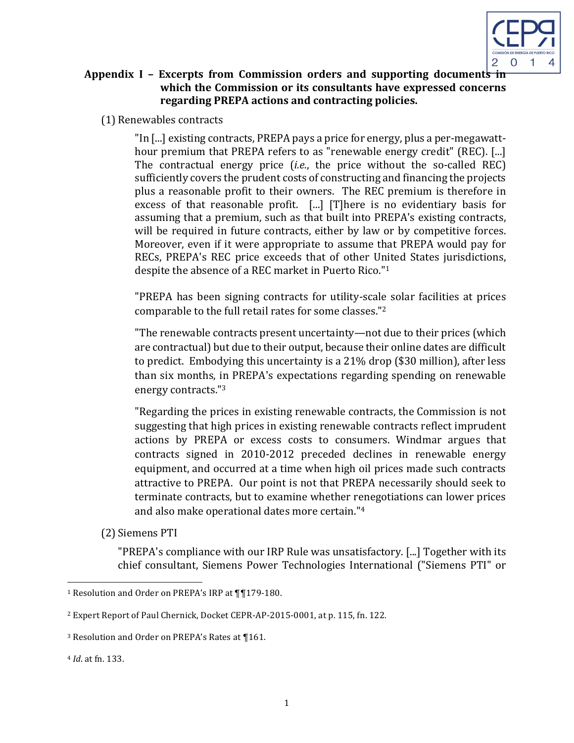

## **Appendix I** – Excerpts from Commission orders and supporting documents in which the Commission or its consultants have expressed concerns regarding PREPA actions and contracting policies.

(1) Renewables contracts

"In [...] existing contracts, PREPA pays a price for energy, plus a per-megawatthour premium that PREPA refers to as "renewable energy credit" (REC). [...] The contractual energy price *(i.e.*, the price without the so-called REC) sufficiently covers the prudent costs of constructing and financing the projects plus a reasonable profit to their owners. The REC premium is therefore in excess of that reasonable profit.  $\lceil ... \rceil$  [T]here is no evidentiary basis for assuming that a premium, such as that built into PREPA's existing contracts, will be required in future contracts, either by law or by competitive forces. Moreover, even if it were appropriate to assume that PREPA would pay for RECs, PREPA's REC price exceeds that of other United States jurisdictions, despite the absence of a REC market in Puerto Rico."<sup>1</sup>

"PREPA has been signing contracts for utility-scale solar facilities at prices comparable to the full retail rates for some classes."<sup>2</sup>

"The renewable contracts present uncertainty—not due to their prices (which are contractual) but due to their output, because their online dates are difficult to predict. Embodying this uncertainty is a  $21\%$  drop (\$30 million), after less than six months, in PREPA's expectations regarding spending on renewable energy contracts."<sup>3</sup>

"Regarding the prices in existing renewable contracts, the Commission is not suggesting that high prices in existing renewable contracts reflect imprudent actions by PREPA or excess costs to consumers. Windmar argues that contracts signed in 2010-2012 preceded declines in renewable energy equipment, and occurred at a time when high oil prices made such contracts attractive to PREPA. Our point is not that PREPA necessarily should seek to terminate contracts, but to examine whether renegotiations can lower prices and also make operational dates more certain."<sup>4</sup>

(2) Siemens PTI

<u> 1989 - Johann Barn, mars ann an t-Amhain an t-Amhain an t-Amhain an t-Amhain an t-Amhain an t-Amhain an t-Amh</u>

"PREPA's compliance with our IRP Rule was unsatisfactory. [...] Together with its chief consultant, Siemens Power Technologies International ("Siemens PTI" or

<sup>4</sup> *Id.* at fn. 133.

<sup>&</sup>lt;sup>1</sup> Resolution and Order on PREPA's IRP at  $\P$ [179-180.

<sup>&</sup>lt;sup>2</sup> Expert Report of Paul Chernick, Docket CEPR-AP-2015-0001, at p. 115, fn. 122.

<sup>&</sup>lt;sup>3</sup> Resolution and Order on PREPA's Rates at ¶161.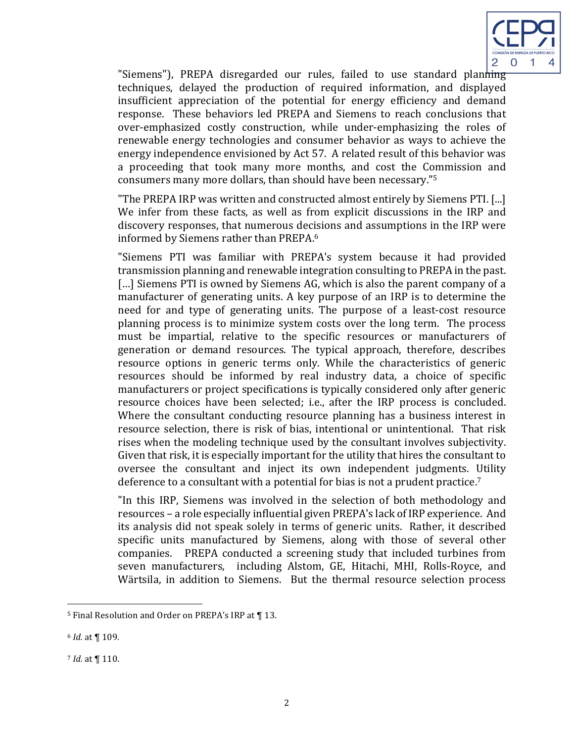

"Siemens"), PREPA disregarded our rules, failed to use standard planning techniques, delayed the production of required information, and displayed insufficient appreciation of the potential for energy efficiency and demand response. These behaviors led PREPA and Siemens to reach conclusions that over-emphasized costly construction, while under-emphasizing the roles of renewable energy technologies and consumer behavior as ways to achieve the energy independence envisioned by Act 57. A related result of this behavior was a proceeding that took many more months, and cost the Commission and consumers many more dollars, than should have been necessary."<sup>5</sup>

"The PREPA IRP was written and constructed almost entirely by Siemens PTI. [...] We infer from these facts, as well as from explicit discussions in the IRP and discovery responses, that numerous decisions and assumptions in the IRP were informed by Siemens rather than PREPA.<sup>6</sup>

"Siemens PTI was familiar with PREPA's system because it had provided transmission planning and renewable integration consulting to PREPA in the past. [...] Siemens PTI is owned by Siemens AG, which is also the parent company of a manufacturer of generating units. A key purpose of an IRP is to determine the need for and type of generating units. The purpose of a least-cost resource planning process is to minimize system costs over the long term. The process must be impartial, relative to the specific resources or manufacturers of generation or demand resources. The typical approach, therefore, describes resource options in generic terms only. While the characteristics of generic resources should be informed by real industry data, a choice of specific manufacturers or project specifications is typically considered only after generic resource choices have been selected; i.e., after the IRP process is concluded. Where the consultant conducting resource planning has a business interest in resource selection, there is risk of bias, intentional or unintentional. That risk rises when the modeling technique used by the consultant involves subjectivity. Given that risk, it is especially important for the utility that hires the consultant to oversee the consultant and inject its own independent judgments. Utility deference to a consultant with a potential for bias is not a prudent practice.<sup>7</sup>

"In this IRP, Siemens was involved in the selection of both methodology and resources - a role especially influential given PREPA's lack of IRP experience. And its analysis did not speak solely in terms of generic units. Rather, it described specific units manufactured by Siemens, along with those of several other companies. PREPA conducted a screening study that included turbines from seven manufacturers, including Alstom, GE, Hitachi, MHI, Rolls-Royce, and Wärtsila, in addition to Siemens. But the thermal resource selection process

<u> 1989 - Johann Barn, mars ann an t-Amhain an t-Amhain an t-Amhain an t-Amhain an t-Amhain an t-Amhain an t-Amh</u>

<sup>&</sup>lt;sup>5</sup> Final Resolution and Order on PREPA's IRP at ¶ 13.

<sup>6</sup> *Id.* at ¶ 109. 

*<sup>7</sup> Id.* at  $\P$  110.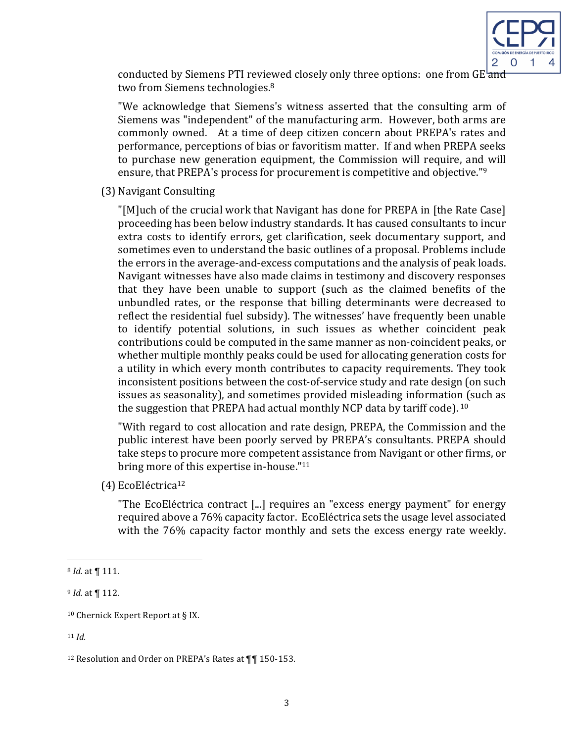

conducted by Siemens PTI reviewed closely only three options: one from  $GE<sup>l</sup>$  and two from Siemens technologies.<sup>8</sup>

"We acknowledge that Siemens's witness asserted that the consulting arm of Siemens was "independent" of the manufacturing arm. However, both arms are commonly owned. At a time of deep citizen concern about PREPA's rates and performance, perceptions of bias or favoritism matter. If and when PREPA seeks to purchase new generation equipment, the Commission will require, and will ensure, that PREPA's process for procurement is competitive and objective."<sup>9</sup>

(3) Navigant Consulting

"[M]uch of the crucial work that Navigant has done for PREPA in [the Rate Case] proceeding has been below industry standards. It has caused consultants to incur extra costs to identify errors, get clarification, seek documentary support, and sometimes even to understand the basic outlines of a proposal. Problems include the errors in the average-and-excess computations and the analysis of peak loads. Navigant witnesses have also made claims in testimony and discovery responses that they have been unable to support (such as the claimed benefits of the unbundled rates, or the response that billing determinants were decreased to reflect the residential fuel subsidy). The witnesses' have frequently been unable to identify potential solutions, in such issues as whether coincident peak contributions could be computed in the same manner as non-coincident peaks, or whether multiple monthly peaks could be used for allocating generation costs for a utility in which every month contributes to capacity requirements. They took inconsistent positions between the cost-of-service study and rate design (on such issues as seasonality), and sometimes provided misleading information (such as the suggestion that PREPA had actual monthly NCP data by tariff code).  $10<sup>10</sup>$ 

"With regard to cost allocation and rate design, PREPA, the Commission and the public interest have been poorly served by PREPA's consultants. PREPA should take steps to procure more competent assistance from Navigant or other firms, or bring more of this expertise in-house."<sup>11</sup>

(4) EcoEléctrica12

"The EcoEléctrica contract  $\lceil ... \rceil$  requires an "excess energy payment" for energy required above a 76% capacity factor. EcoEléctrica sets the usage level associated with the 76% capacity factor monthly and sets the excess energy rate weekly.

<u> 1989 - Johann Barn, mars ann an t-Amhain an t-Amhain an t-Amhain an t-Amhain an t-Amhain an t-Amhain an t-Amh</u>

<sup>&</sup>lt;sup>8</sup> *Id.* at  $\P$  111.

<sup>&</sup>lt;sup>9</sup> *Id.* at ¶ 112.

 $10$  Chernick Expert Report at § IX.

<sup>11</sup> *Id.*

<sup>&</sup>lt;sup>12</sup> Resolution and Order on PREPA's Rates at  $\P\P$  150-153.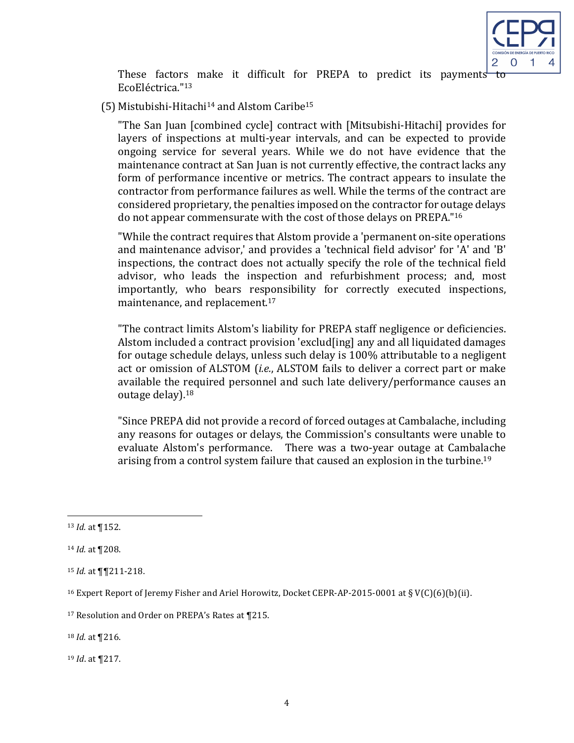

These factors make it difficult for PREPA to predict its payments to EcoEléctrica."13

(5) Mistubishi-Hitachi<sup>14</sup> and Alstom Caribe<sup>15</sup>

"The San Juan [combined cycle] contract with [Mitsubishi-Hitachi] provides for layers of inspections at multi-year intervals, and can be expected to provide ongoing service for several years. While we do not have evidence that the maintenance contract at San Juan is not currently effective, the contract lacks any form of performance incentive or metrics. The contract appears to insulate the contractor from performance failures as well. While the terms of the contract are considered proprietary, the penalties imposed on the contractor for outage delays do not appear commensurate with the cost of those delays on PREPA."<sup>16</sup>

"While the contract requires that Alstom provide a 'permanent on-site operations and maintenance advisor,' and provides a 'technical field advisor' for 'A' and 'B' inspections, the contract does not actually specify the role of the technical field advisor, who leads the inspection and refurbishment process; and, most importantly, who bears responsibility for correctly executed inspections, maintenance, and replacement.<sup>17</sup>

"The contract limits Alstom's liability for PREPA staff negligence or deficiencies. Alstom included a contract provision 'exclud[ing] any and all liquidated damages for outage schedule delays, unless such delay is 100% attributable to a negligent act or omission of ALSTOM (*i.e.*, ALSTOM fails to deliver a correct part or make available the required personnel and such late delivery/performance causes an outage delay).<sup>18</sup>

"Since PREPA did not provide a record of forced outages at Cambalache, including any reasons for outages or delays, the Commission's consultants were unable to evaluate Alstom's performance. There was a two-year outage at Cambalache arising from a control system failure that caused an explosion in the turbine.<sup>19</sup>

<u> 1989 - Johann Barn, mars ann an t-Amhain an t-Amhain an t-Amhain an t-Amhain an t-Amhain an t-Amhain an t-Amh</u>

19 *Id.* at **[217.** 

<sup>13</sup> *Id.* at ¶152.

<sup>14</sup> *Id.* at **[208.** 

<sup>&</sup>lt;sup>15</sup> *Id.* at **[**¶211-218.

<sup>&</sup>lt;sup>16</sup> Expert Report of Jeremy Fisher and Ariel Horowitz, Docket CEPR-AP-2015-0001 at § V(C)(6)(b)(ii).

<sup>&</sup>lt;sup>17</sup> Resolution and Order on PREPA's Rates at ¶215.

<sup>18</sup> *Id.* at **[216.**